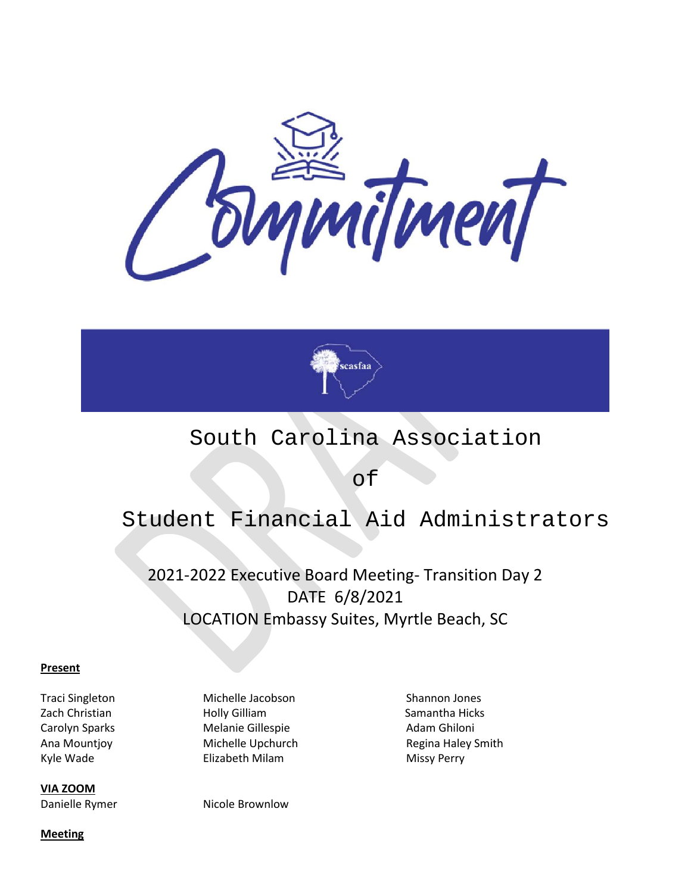



# South Carolina Association

of

# Student Financial Aid Administrators

2021-2022 Executive Board Meeting- Transition Day 2 DATE 6/8/2021 LOCATION Embassy Suites, Myrtle Beach, SC

#### **Present**

Kyle Wade **Elizabeth Milam** Milam Missy Perry

**VIA ZOOM** Danielle Rymer Nicole Brownlow

Traci Singleton Michelle Jacobson Shannon Jones Zach Christian **Holly Gilliam** Holly Gilliam Samantha Hicks Carolyn Sparks **Melanie Gillespie** Adam Ghiloni

Ana Mountjoy **Michelle Upchurch Regina Haley Smith** 

**Meeting**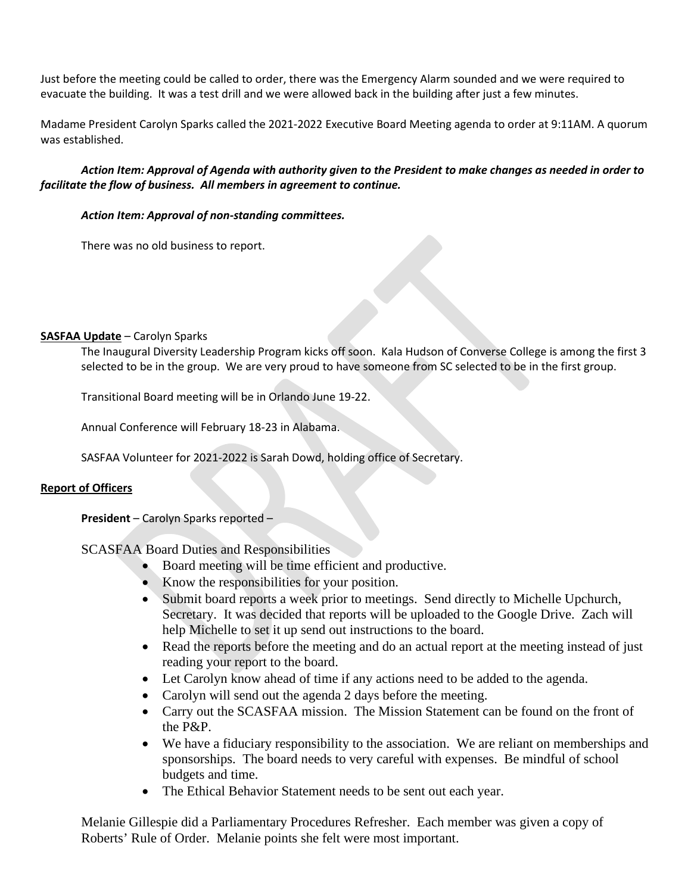Just before the meeting could be called to order, there was the Emergency Alarm sounded and we were required to evacuate the building. It was a test drill and we were allowed back in the building after just a few minutes.

Madame President Carolyn Sparks called the 2021-2022 Executive Board Meeting agenda to order at 9:11AM. A quorum was established.

#### *Action Item: Approval of Agenda with authority given to the President to make changes as needed in order to facilitate the flow of business. All members in agreement to continue.*

#### *Action Item: Approval of non-standing committees.*

There was no old business to report.

#### **SASFAA Update** – Carolyn Sparks

The Inaugural Diversity Leadership Program kicks off soon. Kala Hudson of Converse College is among the first 3 selected to be in the group. We are very proud to have someone from SC selected to be in the first group.

Transitional Board meeting will be in Orlando June 19-22.

Annual Conference will February 18-23 in Alabama.

SASFAA Volunteer for 2021-2022 is Sarah Dowd, holding office of Secretary.

#### **Report of Officers**

**President** – Carolyn Sparks reported –

SCASFAA Board Duties and Responsibilities

- Board meeting will be time efficient and productive.
- Know the responsibilities for your position.
- Submit board reports a week prior to meetings. Send directly to Michelle Upchurch, Secretary. It was decided that reports will be uploaded to the Google Drive. Zach will help Michelle to set it up send out instructions to the board.
- Read the reports before the meeting and do an actual report at the meeting instead of just reading your report to the board.
- Let Carolyn know ahead of time if any actions need to be added to the agenda.
- Carolyn will send out the agenda 2 days before the meeting.
- Carry out the SCASFAA mission. The Mission Statement can be found on the front of the P&P.
- We have a fiduciary responsibility to the association. We are reliant on memberships and sponsorships. The board needs to very careful with expenses. Be mindful of school budgets and time.
- The Ethical Behavior Statement needs to be sent out each year.

Melanie Gillespie did a Parliamentary Procedures Refresher. Each member was given a copy of Roberts' Rule of Order. Melanie points she felt were most important.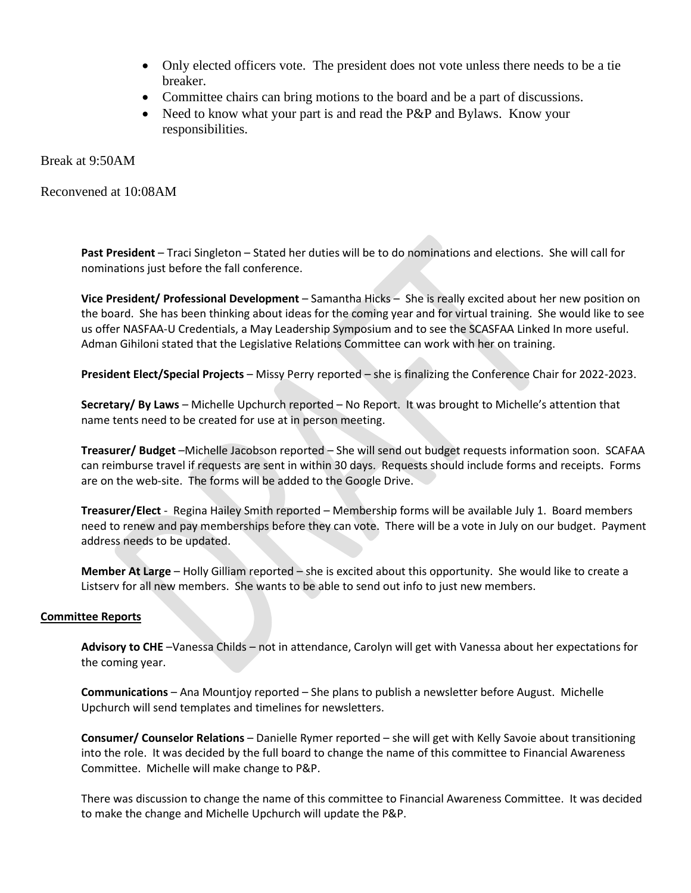- Only elected officers vote. The president does not vote unless there needs to be a tie breaker.
- Committee chairs can bring motions to the board and be a part of discussions.
- Need to know what your part is and read the P&P and Bylaws. Know your responsibilities.

Break at 9:50AM

Reconvened at 10:08AM

**Past President** – Traci Singleton – Stated her duties will be to do nominations and elections. She will call for nominations just before the fall conference.

**Vice President/ Professional Development** – Samantha Hicks – She is really excited about her new position on the board. She has been thinking about ideas for the coming year and for virtual training. She would like to see us offer NASFAA-U Credentials, a May Leadership Symposium and to see the SCASFAA Linked In more useful. Adman Gihiloni stated that the Legislative Relations Committee can work with her on training.

**President Elect/Special Projects** – Missy Perry reported – she is finalizing the Conference Chair for 2022-2023.

**Secretary/ By Laws** – Michelle Upchurch reported – No Report. It was brought to Michelle's attention that name tents need to be created for use at in person meeting.

**Treasurer/ Budget** –Michelle Jacobson reported – She will send out budget requests information soon. SCAFAA can reimburse travel if requests are sent in within 30 days. Requests should include forms and receipts. Forms are on the web-site. The forms will be added to the Google Drive.

**Treasurer/Elect** - Regina Hailey Smith reported – Membership forms will be available July 1. Board members need to renew and pay memberships before they can vote. There will be a vote in July on our budget. Payment address needs to be updated.

**Member At Large** – Holly Gilliam reported – she is excited about this opportunity. She would like to create a Listserv for all new members. She wants to be able to send out info to just new members.

#### **Committee Reports**

**Advisory to CHE** –Vanessa Childs – not in attendance, Carolyn will get with Vanessa about her expectations for the coming year.

**Communications** – Ana Mountjoy reported – She plans to publish a newsletter before August. Michelle Upchurch will send templates and timelines for newsletters.

**Consumer/ Counselor Relations** – Danielle Rymer reported – she will get with Kelly Savoie about transitioning into the role. It was decided by the full board to change the name of this committee to Financial Awareness Committee. Michelle will make change to P&P.

There was discussion to change the name of this committee to Financial Awareness Committee. It was decided to make the change and Michelle Upchurch will update the P&P.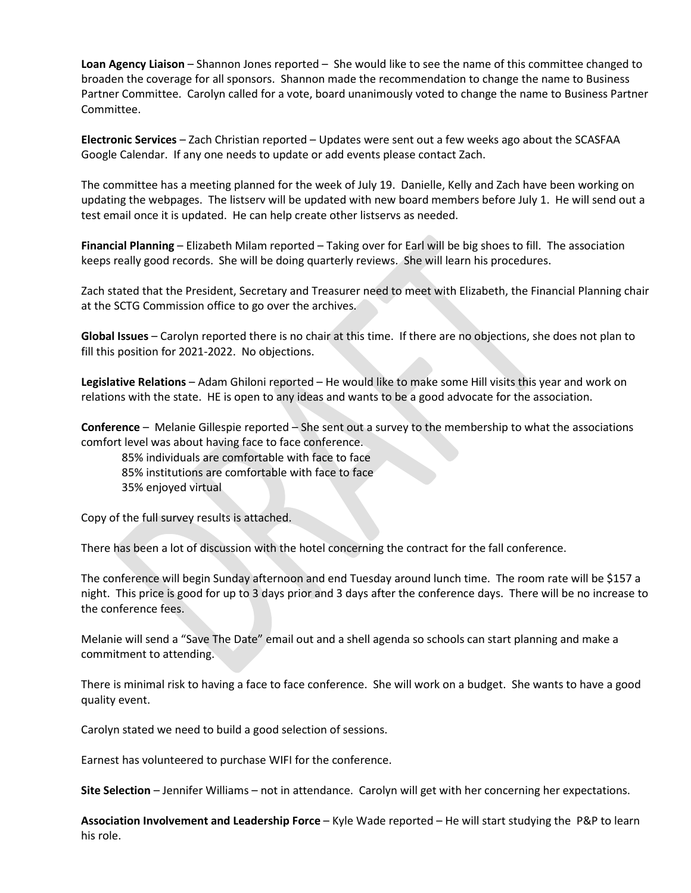**Loan Agency Liaison** – Shannon Jones reported – She would like to see the name of this committee changed to broaden the coverage for all sponsors. Shannon made the recommendation to change the name to Business Partner Committee. Carolyn called for a vote, board unanimously voted to change the name to Business Partner Committee.

**Electronic Services** – Zach Christian reported – Updates were sent out a few weeks ago about the SCASFAA Google Calendar. If any one needs to update or add events please contact Zach.

The committee has a meeting planned for the week of July 19. Danielle, Kelly and Zach have been working on updating the webpages. The listserv will be updated with new board members before July 1. He will send out a test email once it is updated. He can help create other listservs as needed.

**Financial Planning** – Elizabeth Milam reported – Taking over for Earl will be big shoes to fill. The association keeps really good records. She will be doing quarterly reviews. She will learn his procedures.

Zach stated that the President, Secretary and Treasurer need to meet with Elizabeth, the Financial Planning chair at the SCTG Commission office to go over the archives.

**Global Issues** – Carolyn reported there is no chair at this time. If there are no objections, she does not plan to fill this position for 2021-2022. No objections.

**Legislative Relations** – Adam Ghiloni reported – He would like to make some Hill visits this year and work on relations with the state. HE is open to any ideas and wants to be a good advocate for the association.

**Conference** – Melanie Gillespie reported – She sent out a survey to the membership to what the associations comfort level was about having face to face conference.

85% individuals are comfortable with face to face 85% institutions are comfortable with face to face 35% enjoyed virtual

Copy of the full survey results is attached.

There has been a lot of discussion with the hotel concerning the contract for the fall conference.

The conference will begin Sunday afternoon and end Tuesday around lunch time. The room rate will be \$157 a night. This price is good for up to 3 days prior and 3 days after the conference days. There will be no increase to the conference fees.

Melanie will send a "Save The Date" email out and a shell agenda so schools can start planning and make a commitment to attending.

There is minimal risk to having a face to face conference. She will work on a budget. She wants to have a good quality event.

Carolyn stated we need to build a good selection of sessions.

Earnest has volunteered to purchase WIFI for the conference.

**Site Selection** – Jennifer Williams – not in attendance. Carolyn will get with her concerning her expectations.

**Association Involvement and Leadership Force** – Kyle Wade reported – He will start studying the P&P to learn his role.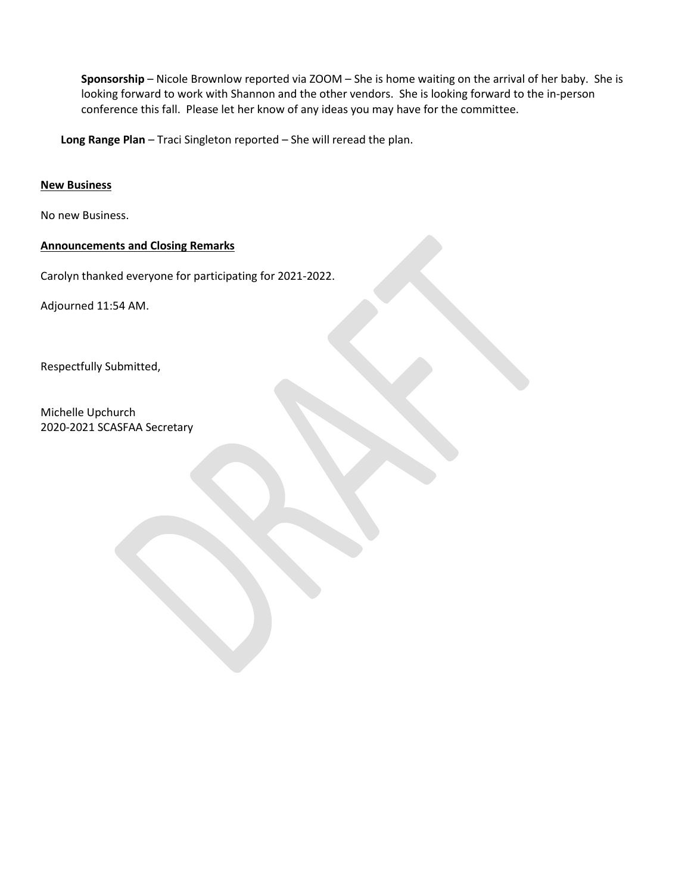**Sponsorship** – Nicole Brownlow reported via ZOOM – She is home waiting on the arrival of her baby. She is looking forward to work with Shannon and the other vendors. She is looking forward to the in-person conference this fall. Please let her know of any ideas you may have for the committee.

**Long Range Plan** – Traci Singleton reported – She will reread the plan.

#### **New Business**

No new Business.

#### **Announcements and Closing Remarks**

Carolyn thanked everyone for participating for 2021-2022.

Adjourned 11:54 AM.

Respectfully Submitted,

Michelle Upchurch 2020-2021 SCASFAA Secretary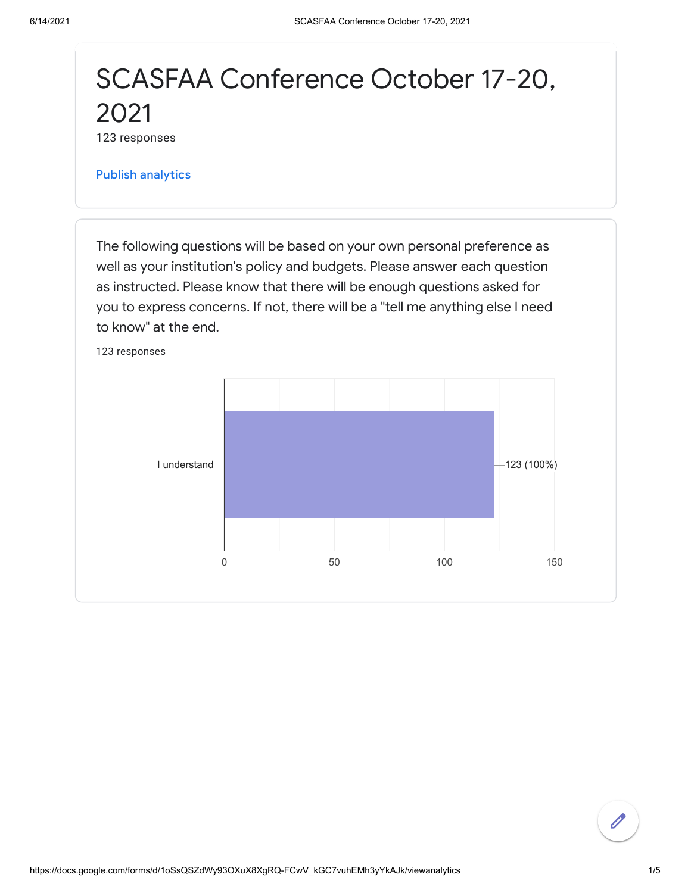# SCASFAA Conference October 17-20, 2021

123 responses

Publish [analytics](https://docs.google.com/forms/d/1oSsQSZdWy93OXuX8XgRQ-FCwV_kGC7vuhEMh3yYkAJk/edit?usp=redirect_edit_m2#start=publishanalytics)

The following questions will be based on your own personal preference as well as your institution's policy and budgets. Please answer each question as instructed. Please know that there will be enough questions asked for you to express concerns. If not, there will be a "tell me anything else I need to know" at the end.

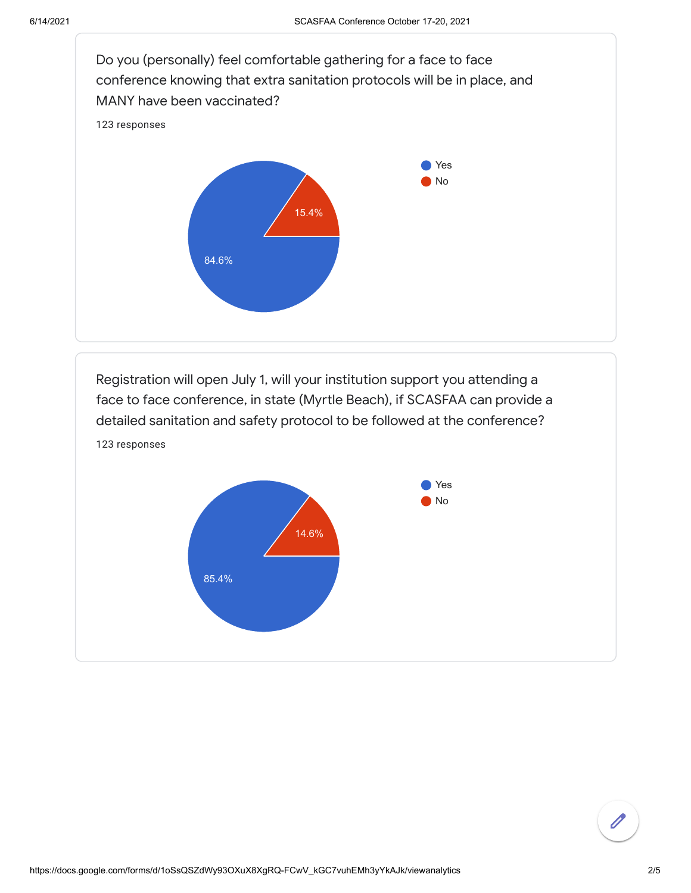

Registration will open July 1, will your institution support you attending a face to face conference, in state (Myrtle Beach), if SCASFAA can provide a detailed sanitation and safety protocol to be followed at the conference? 123 responses

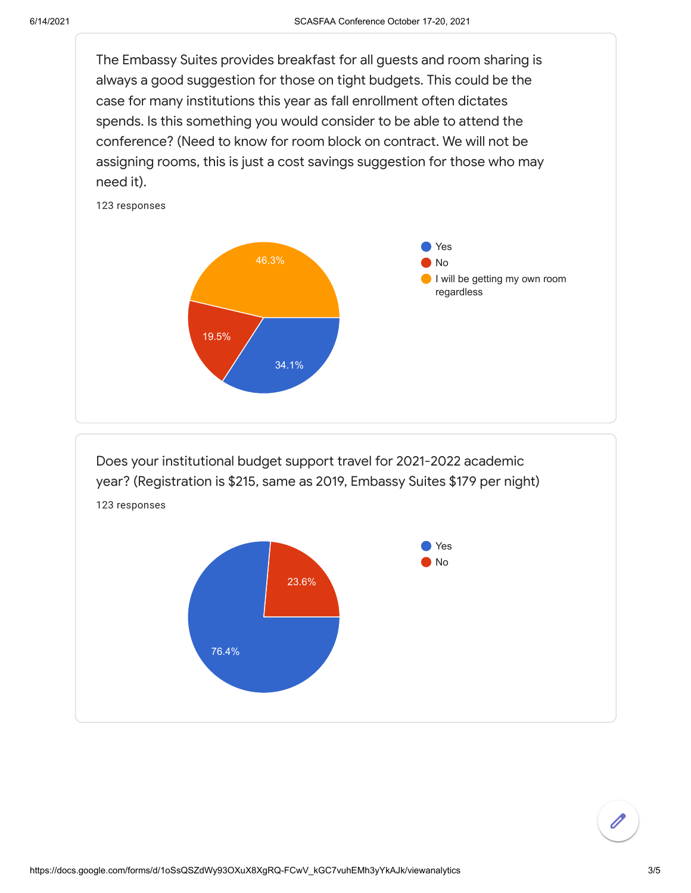The Embassy Suites provides breakfast for all guests and room sharing is always a good suggestion for those on tight budgets. This could be the case for many institutions this year as fall enrollment often dictates spends. Is this something you would consider to be able to attend the conference? (Need to know for room block on contract. We will not be assigning rooms, this is just a cost savings suggestion for those who may need it).



Does your institutional budget support travel for 2021-2022 academic year? (Registration is \$215, same as 2019, Embassy Suites \$179 per night) 123 responses

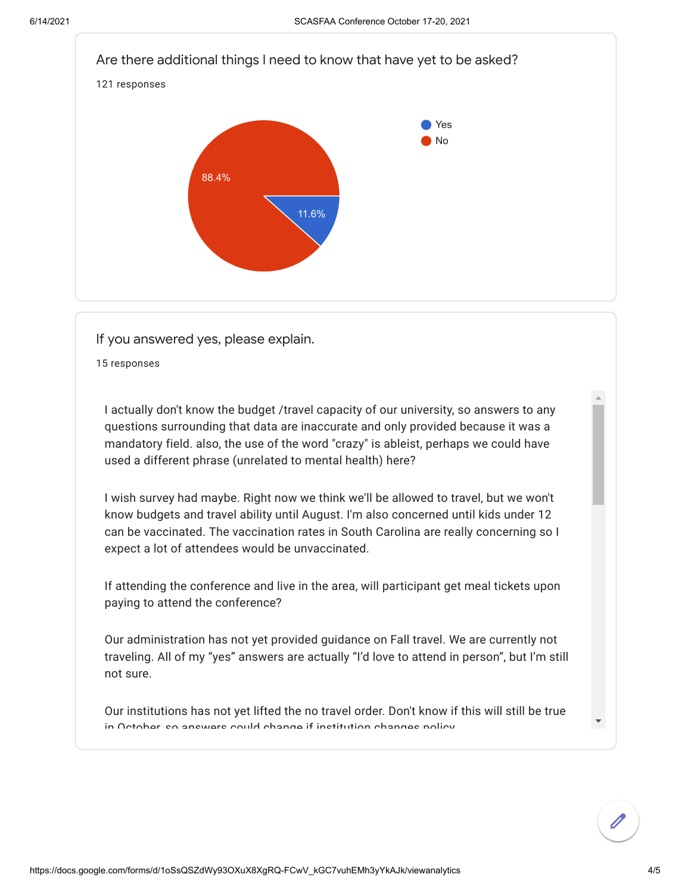

If you answered yes, please explain.

15 responses

I actually don't know the budget /travel capacity of our university, so answers to any questions surrounding that data are inaccurate and only provided because it was a mandatory field. also, the use of the word "crazy" is ableist, perhaps we could have used a different phrase (unrelated to mental health) here?

I wish survey had maybe. Right now we think we'll be allowed to travel, but we won't know budgets and travel ability until August. I'm also concerned until kids under 12 can be vaccinated. The vaccination rates in South Carolina are really concerning so I expect a lot of attendees would be unvaccinated.

If attending the conference and live in the area, will participant get meal tickets upon paying to attend the conference?

Our administration has not yet provided guidance on Fall travel. We are currently not traveling. All of my "yes" answers are actually "I'd love to attend in person", but I'm still not sure.

Our institutions has not yet lifted the no travel order. Don't know if this will still be true in October so answers could change if institution changes policy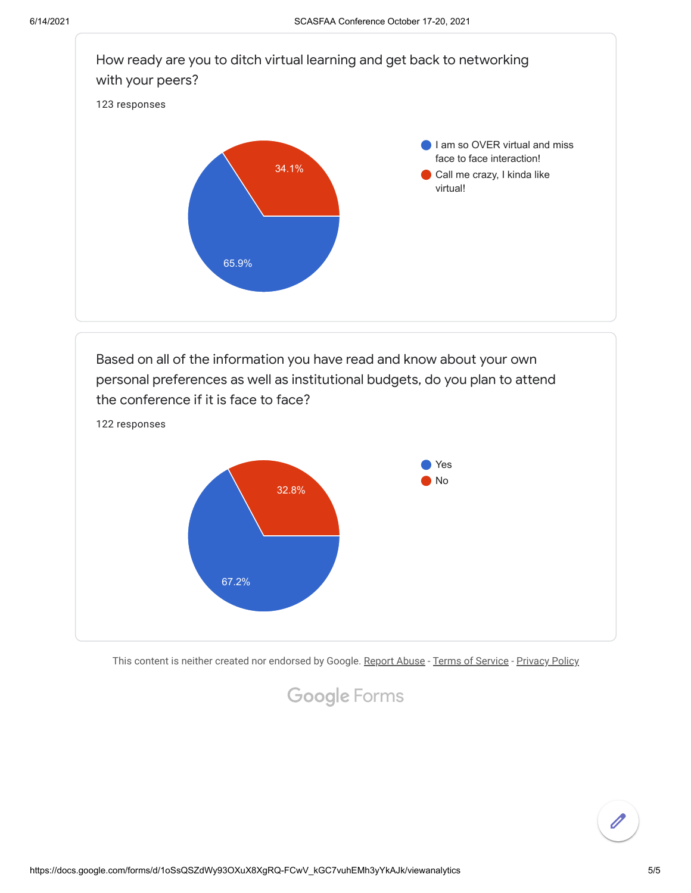

Based on all of the information you have read and know about your own personal preferences as well as institutional budgets, do you plan to attend the conference if it is face to face? 122 responses



This content is neither created nor endorsed by Google. [Report Abuse](https://docs.google.com/forms/d/1oSsQSZdWy93OXuX8XgRQ-FCwV_kGC7vuhEMh3yYkAJk/reportabuse) - [Terms of Service](https://policies.google.com/terms) - [Privacy Policy](https://policies.google.com/privacy)

# Google [Forms](https://www.google.com/forms/about/?utm_source=product&utm_medium=forms_logo&utm_campaign=forms)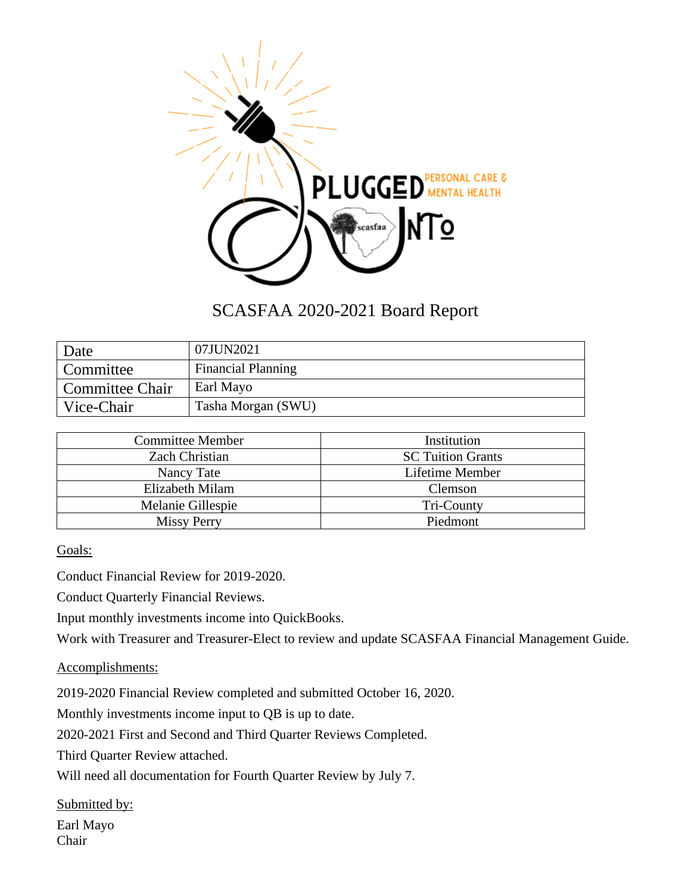

## SCASFAA 2020-2021 Board Report

| Date            | 07JUN2021                 |
|-----------------|---------------------------|
| Committee       | <b>Financial Planning</b> |
| Committee Chair | Earl Mayo                 |
| Vice-Chair      | Tasha Morgan (SWU)        |

| <b>Committee Member</b> | Institution              |  |
|-------------------------|--------------------------|--|
| <b>Zach Christian</b>   | <b>SC Tuition Grants</b> |  |
| Nancy Tate              | Lifetime Member          |  |
| Elizabeth Milam         | Clemson                  |  |
| Melanie Gillespie       | Tri-County               |  |
| <b>Missy Perry</b>      | Piedmont                 |  |

Goals:

Conduct Financial Review for 2019-2020.

Conduct Quarterly Financial Reviews.

Input monthly investments income into QuickBooks.

Work with Treasurer and Treasurer-Elect to review and update SCASFAA Financial Management Guide.

Accomplishments:

2019-2020 Financial Review completed and submitted October 16, 2020.

Monthly investments income input to QB is up to date.

2020-2021 First and Second and Third Quarter Reviews Completed.

Third Quarter Review attached.

Will need all documentation for Fourth Quarter Review by July 7.

Submitted by:

Earl Mayo Chair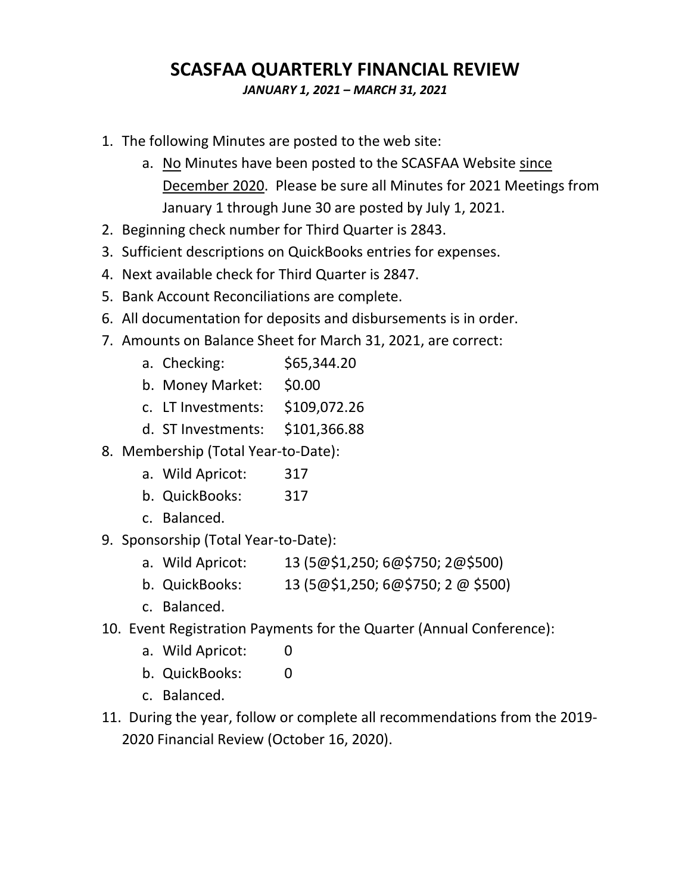## **SCASFAA QUARTERLY FINANCIAL REVIEW**

*JANUARY 1, 2021 – MARCH 31, 2021*

- 1. The following Minutes are posted to the web site:
	- a. No Minutes have been posted to the SCASFAA Website since December 2020. Please be sure all Minutes for 2021 Meetings from January 1 through June 30 are posted by July 1, 2021.
- 2. Beginning check number for Third Quarter is 2843.
- 3. Sufficient descriptions on QuickBooks entries for expenses.
- 4. Next available check for Third Quarter is 2847.
- 5. Bank Account Reconciliations are complete.
- 6. All documentation for deposits and disbursements is in order.
- 7. Amounts on Balance Sheet for March 31, 2021, are correct:
	- a. Checking: \$65,344.20
	- b. Money Market: \$0.00
	- c. LT Investments: \$109,072.26
	- d. ST Investments: \$101,366.88
- 8. Membership (Total Year-to-Date):
	- a. Wild Apricot: 317
	- b. QuickBooks: 317
	- c. Balanced.
- 9. Sponsorship (Total Year-to-Date):
	- a. Wild Apricot: 13 (5@\$1,250; 6@\$750; 2@\$500)
	- b. QuickBooks: 13 (5@\$1,250; 6@\$750; 2 @ \$500)
	- c. Balanced.
- 10. Event Registration Payments for the Quarter (Annual Conference):
	- a. Wild Apricot: 0
	- b. QuickBooks: 0
	- c. Balanced.
- 11. During the year, follow or complete all recommendations from the 2019- 2020 Financial Review (October 16, 2020).